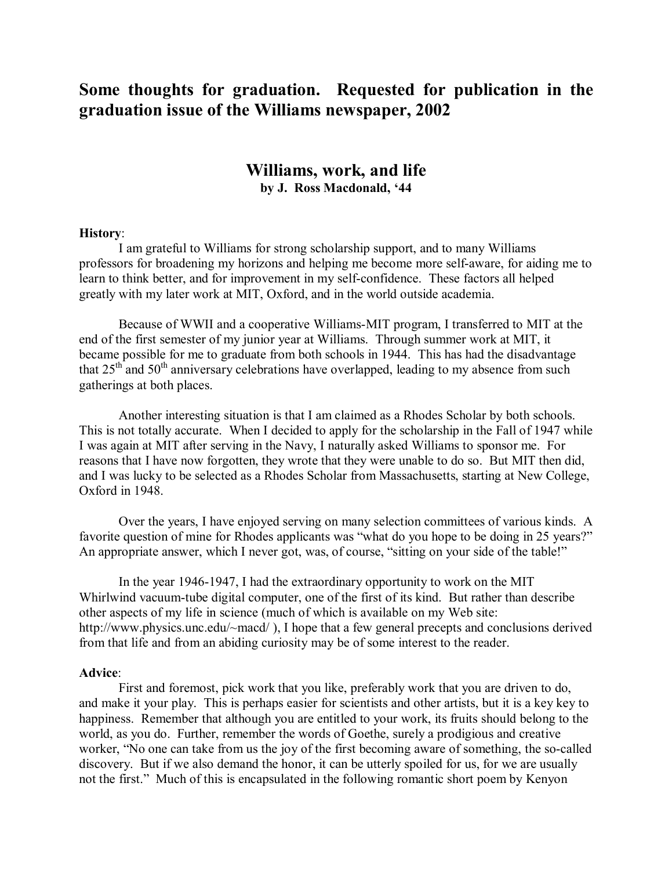## **Some thoughts for graduation. Requested for publication in the graduation issue of the Williams newspaper, 2002**

## **Williams, work, and life by J. Ross Macdonald, '44**

## **History**:

I am grateful to Williams for strong scholarship support, and to many Williams professors for broadening my horizons and helping me become more self-aware, for aiding me to learn to think better, and for improvement in my self-confidence. These factors all helped greatly with my later work at MIT, Oxford, and in the world outside academia.

Because of WWII and a cooperative Williams-MIT program, I transferred to MIT at the end of the first semester of my junior year at Williams. Through summer work at MIT, it became possible for me to graduate from both schools in 1944. This has had the disadvantage that  $25<sup>th</sup>$  and  $50<sup>th</sup>$  anniversary celebrations have overlapped, leading to my absence from such gatherings at both places.

Another interesting situation is that I am claimed as a Rhodes Scholar by both schools. This is not totally accurate. When I decided to apply for the scholarship in the Fall of 1947 while I was again at MIT after serving in the Navy, I naturally asked Williams to sponsor me. For reasons that I have now forgotten, they wrote that they were unable to do so. But MIT then did, and I was lucky to be selected as a Rhodes Scholar from Massachusetts, starting at New College, Oxford in 1948.

Over the years, I have enjoyed serving on many selection committees of various kinds. A favorite question of mine for Rhodes applicants was "what do you hope to be doing in 25 years?" An appropriate answer, which I never got, was, of course, "sitting on your side of the table!"

In the year 1946-1947, I had the extraordinary opportunity to work on the MIT Whirlwind vacuum-tube digital computer, one of the first of its kind. But rather than describe other aspects of my life in science (much of which is available on my Web site: http://www.physics.unc.edu/~macd/), I hope that a few general precepts and conclusions derived from that life and from an abiding curiosity may be of some interest to the reader.

## **Advice**:

First and foremost, pick work that you like, preferably work that you are driven to do, and make it your play. This is perhaps easier for scientists and other artists, but it is a key key to happiness. Remember that although you are entitled to your work, its fruits should belong to the world, as you do. Further, remember the words of Goethe, surely a prodigious and creative worker, "No one can take from us the joy of the first becoming aware of something, the so-called discovery. But if we also demand the honor, it can be utterly spoiled for us, for we are usually not the first." Much of this is encapsulated in the following romantic short poem by Kenyon